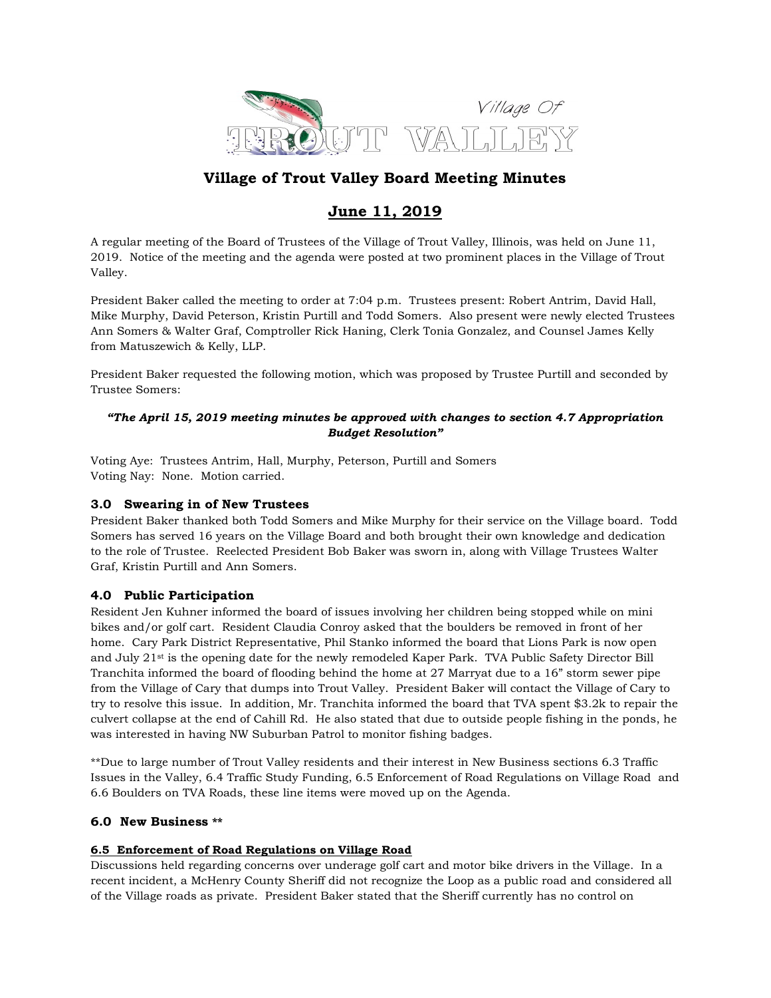

# Village of Trout Valley Board Meeting Minutes

# June 11, 2019

A regular meeting of the Board of Trustees of the Village of Trout Valley, Illinois, was held on June 11, 2019. Notice of the meeting and the agenda were posted at two prominent places in the Village of Trout Valley.

President Baker called the meeting to order at 7:04 p.m. Trustees present: Robert Antrim, David Hall, Mike Murphy, David Peterson, Kristin Purtill and Todd Somers. Also present were newly elected Trustees Ann Somers & Walter Graf, Comptroller Rick Haning, Clerk Tonia Gonzalez, and Counsel James Kelly from Matuszewich & Kelly, LLP.

President Baker requested the following motion, which was proposed by Trustee Purtill and seconded by Trustee Somers:

### "The April 15, 2019 meeting minutes be approved with changes to section 4.7 Appropriation Budget Resolution"

Voting Aye: Trustees Antrim, Hall, Murphy, Peterson, Purtill and Somers Voting Nay: None. Motion carried.

## 3.0 Swearing in of New Trustees

President Baker thanked both Todd Somers and Mike Murphy for their service on the Village board. Todd Somers has served 16 years on the Village Board and both brought their own knowledge and dedication to the role of Trustee. Reelected President Bob Baker was sworn in, along with Village Trustees Walter Graf, Kristin Purtill and Ann Somers.

# 4.0 Public Participation

Resident Jen Kuhner informed the board of issues involving her children being stopped while on mini bikes and/or golf cart. Resident Claudia Conroy asked that the boulders be removed in front of her home. Cary Park District Representative, Phil Stanko informed the board that Lions Park is now open and July 21st is the opening date for the newly remodeled Kaper Park. TVA Public Safety Director Bill Tranchita informed the board of flooding behind the home at 27 Marryat due to a 16" storm sewer pipe from the Village of Cary that dumps into Trout Valley. President Baker will contact the Village of Cary to try to resolve this issue. In addition, Mr. Tranchita informed the board that TVA spent \$3.2k to repair the culvert collapse at the end of Cahill Rd. He also stated that due to outside people fishing in the ponds, he was interested in having NW Suburban Patrol to monitor fishing badges.

\*\*Due to large number of Trout Valley residents and their interest in New Business sections 6.3 Traffic Issues in the Valley, 6.4 Traffic Study Funding, 6.5 Enforcement of Road Regulations on Village Road and 6.6 Boulders on TVA Roads, these line items were moved up on the Agenda.

#### 6.0 New Business \*\*

#### 6.5 Enforcement of Road Regulations on Village Road

Discussions held regarding concerns over underage golf cart and motor bike drivers in the Village. In a recent incident, a McHenry County Sheriff did not recognize the Loop as a public road and considered all of the Village roads as private. President Baker stated that the Sheriff currently has no control on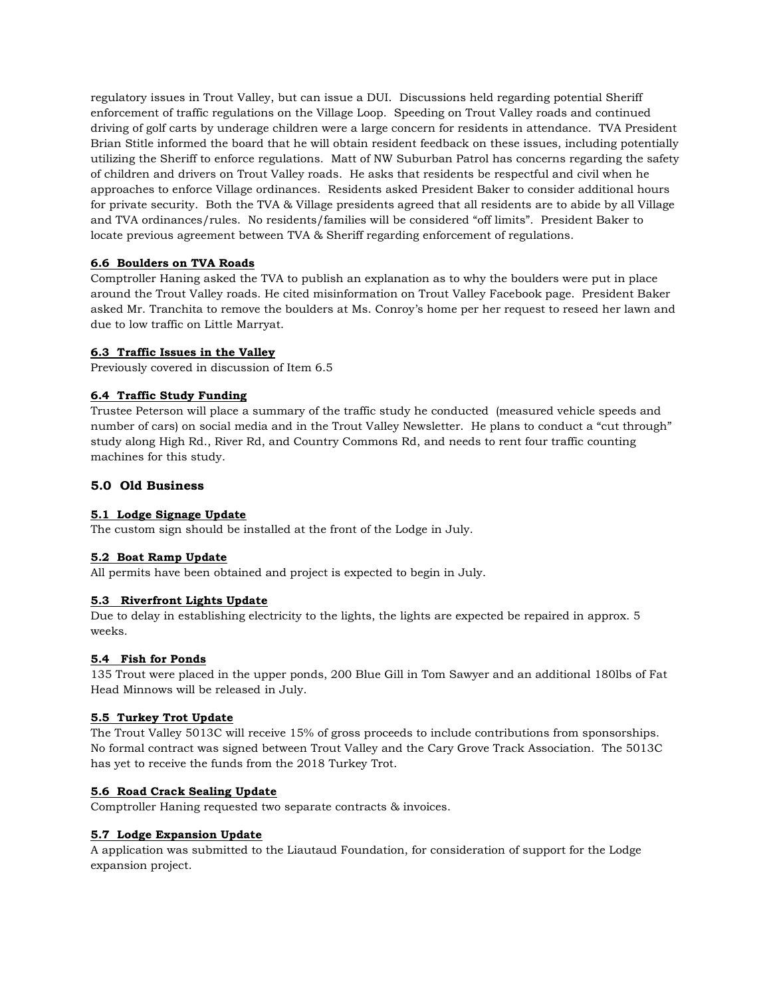regulatory issues in Trout Valley, but can issue a DUI. Discussions held regarding potential Sheriff enforcement of traffic regulations on the Village Loop. Speeding on Trout Valley roads and continued driving of golf carts by underage children were a large concern for residents in attendance. TVA President Brian Stitle informed the board that he will obtain resident feedback on these issues, including potentially utilizing the Sheriff to enforce regulations. Matt of NW Suburban Patrol has concerns regarding the safety of children and drivers on Trout Valley roads. He asks that residents be respectful and civil when he approaches to enforce Village ordinances. Residents asked President Baker to consider additional hours for private security. Both the TVA & Village presidents agreed that all residents are to abide by all Village and TVA ordinances/rules. No residents/families will be considered "off limits". President Baker to locate previous agreement between TVA & Sheriff regarding enforcement of regulations.

#### 6.6 Boulders on TVA Roads

Comptroller Haning asked the TVA to publish an explanation as to why the boulders were put in place around the Trout Valley roads. He cited misinformation on Trout Valley Facebook page. President Baker asked Mr. Tranchita to remove the boulders at Ms. Conroy's home per her request to reseed her lawn and due to low traffic on Little Marryat.

#### 6.3 Traffic Issues in the Valley

Previously covered in discussion of Item 6.5

## 6.4 Traffic Study Funding

Trustee Peterson will place a summary of the traffic study he conducted (measured vehicle speeds and number of cars) on social media and in the Trout Valley Newsletter. He plans to conduct a "cut through" study along High Rd., River Rd, and Country Commons Rd, and needs to rent four traffic counting machines for this study.

## 5.0 Old Business

#### 5.1 Lodge Signage Update

The custom sign should be installed at the front of the Lodge in July.

#### 5.2 Boat Ramp Update

All permits have been obtained and project is expected to begin in July.

#### 5.3 Riverfront Lights Update

Due to delay in establishing electricity to the lights, the lights are expected be repaired in approx. 5 weeks.

#### 5.4 Fish for Ponds

135 Trout were placed in the upper ponds, 200 Blue Gill in Tom Sawyer and an additional 180lbs of Fat Head Minnows will be released in July.

#### 5.5 Turkey Trot Update

The Trout Valley 5013C will receive 15% of gross proceeds to include contributions from sponsorships. No formal contract was signed between Trout Valley and the Cary Grove Track Association. The 5013C has yet to receive the funds from the 2018 Turkey Trot.

#### 5.6 Road Crack Sealing Update

Comptroller Haning requested two separate contracts & invoices.

#### 5.7 Lodge Expansion Update

A application was submitted to the Liautaud Foundation, for consideration of support for the Lodge expansion project.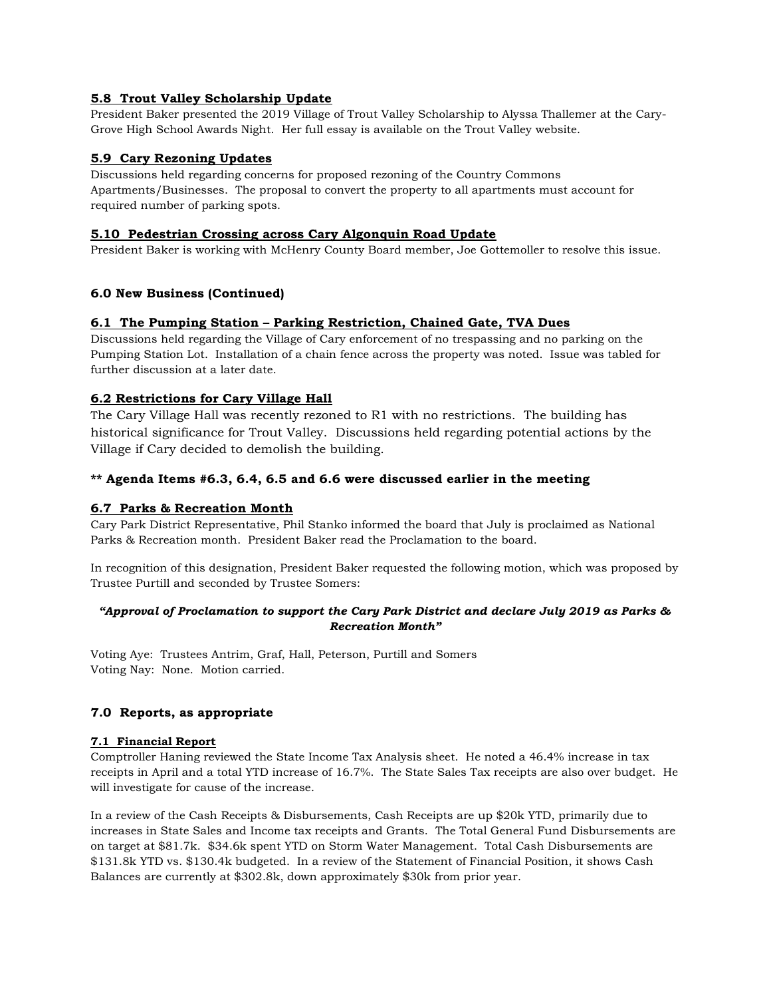## 5.8 Trout Valley Scholarship Update

President Baker presented the 2019 Village of Trout Valley Scholarship to Alyssa Thallemer at the Cary-Grove High School Awards Night. Her full essay is available on the Trout Valley website.

## 5.9 Cary Rezoning Updates

Discussions held regarding concerns for proposed rezoning of the Country Commons Apartments/Businesses. The proposal to convert the property to all apartments must account for required number of parking spots.

#### 5.10 Pedestrian Crossing across Cary Algonquin Road Update

President Baker is working with McHenry County Board member, Joe Gottemoller to resolve this issue.

## 6.0 New Business (Continued)

#### 6.1 The Pumping Station – Parking Restriction, Chained Gate, TVA Dues

Discussions held regarding the Village of Cary enforcement of no trespassing and no parking on the Pumping Station Lot. Installation of a chain fence across the property was noted. Issue was tabled for further discussion at a later date.

## 6.2 Restrictions for Cary Village Hall

The Cary Village Hall was recently rezoned to R1 with no restrictions. The building has historical significance for Trout Valley. Discussions held regarding potential actions by the Village if Cary decided to demolish the building.

#### \*\* Agenda Items #6.3, 6.4, 6.5 and 6.6 were discussed earlier in the meeting

#### 6.7 Parks & Recreation Month

Cary Park District Representative, Phil Stanko informed the board that July is proclaimed as National Parks & Recreation month. President Baker read the Proclamation to the board.

In recognition of this designation, President Baker requested the following motion, which was proposed by Trustee Purtill and seconded by Trustee Somers:

#### "Approval of Proclamation to support the Cary Park District and declare July 2019 as Parks & Recreation Month"

Voting Aye: Trustees Antrim, Graf, Hall, Peterson, Purtill and Somers Voting Nay: None. Motion carried.

#### 7.0 Reports, as appropriate

#### 7.1 Financial Report

Comptroller Haning reviewed the State Income Tax Analysis sheet. He noted a 46.4% increase in tax receipts in April and a total YTD increase of 16.7%. The State Sales Tax receipts are also over budget. He will investigate for cause of the increase.

In a review of the Cash Receipts & Disbursements, Cash Receipts are up \$20k YTD, primarily due to increases in State Sales and Income tax receipts and Grants. The Total General Fund Disbursements are on target at \$81.7k. \$34.6k spent YTD on Storm Water Management. Total Cash Disbursements are \$131.8k YTD vs. \$130.4k budgeted. In a review of the Statement of Financial Position, it shows Cash Balances are currently at \$302.8k, down approximately \$30k from prior year.